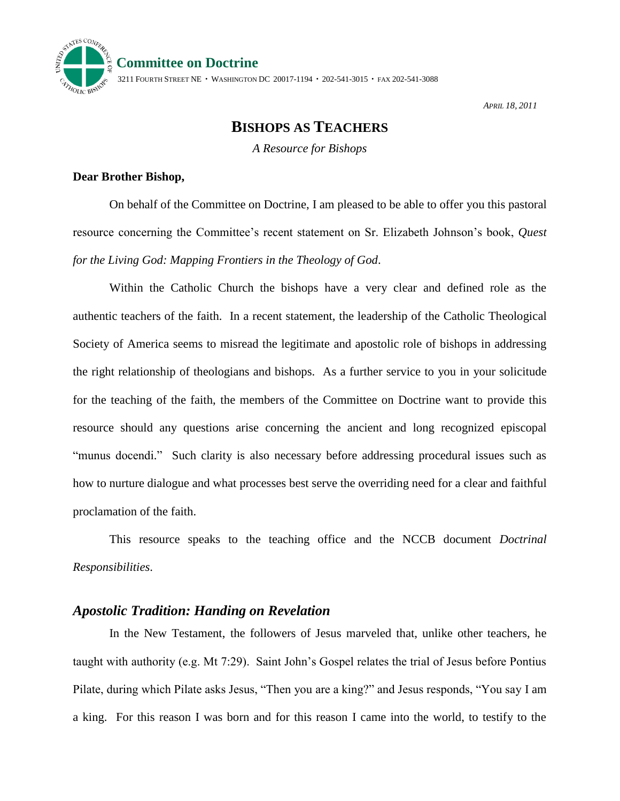

*APRIL 18, 2011*

# **BISHOPS AS TEACHERS**

*A Resource for Bishops*

#### **Dear Brother Bishop,**

On behalf of the Committee on Doctrine, I am pleased to be able to offer you this pastoral resource concerning the Committee's recent statement on Sr. Elizabeth Johnson's book, *Quest for the Living God: Mapping Frontiers in the Theology of God*.

Within the Catholic Church the bishops have a very clear and defined role as the authentic teachers of the faith. In a recent statement, the leadership of the Catholic Theological Society of America seems to misread the legitimate and apostolic role of bishops in addressing the right relationship of theologians and bishops. As a further service to you in your solicitude for the teaching of the faith, the members of the Committee on Doctrine want to provide this resource should any questions arise concerning the ancient and long recognized episcopal "munus docendi." Such clarity is also necessary before addressing procedural issues such as how to nurture dialogue and what processes best serve the overriding need for a clear and faithful proclamation of the faith.

This resource speaks to the teaching office and the NCCB document *Doctrinal Responsibilities*.

## *Apostolic Tradition: Handing on Revelation*

In the New Testament, the followers of Jesus marveled that, unlike other teachers, he taught with authority (e.g. Mt 7:29). Saint John's Gospel relates the trial of Jesus before Pontius Pilate, during which Pilate asks Jesus, "Then you are a king?" and Jesus responds, "You say I am a king. For this reason I was born and for this reason I came into the world, to testify to the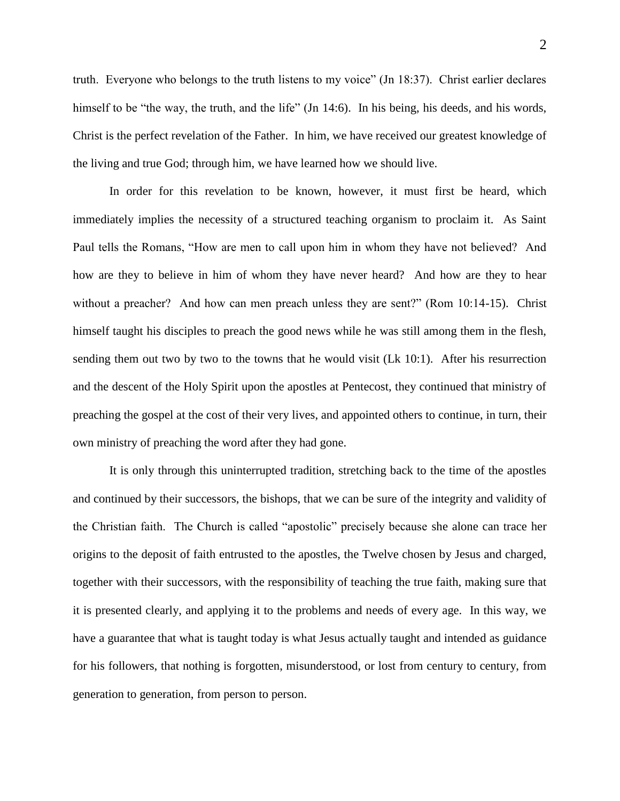truth. Everyone who belongs to the truth listens to my voice" (Jn 18:37). Christ earlier declares himself to be "the way, the truth, and the life" (Jn 14:6). In his being, his deeds, and his words, Christ is the perfect revelation of the Father. In him, we have received our greatest knowledge of the living and true God; through him, we have learned how we should live.

In order for this revelation to be known, however, it must first be heard, which immediately implies the necessity of a structured teaching organism to proclaim it. As Saint Paul tells the Romans, "How are men to call upon him in whom they have not believed? And how are they to believe in him of whom they have never heard? And how are they to hear without a preacher? And how can men preach unless they are sent?" (Rom 10:14-15). Christ himself taught his disciples to preach the good news while he was still among them in the flesh, sending them out two by two to the towns that he would visit (Lk 10:1). After his resurrection and the descent of the Holy Spirit upon the apostles at Pentecost, they continued that ministry of preaching the gospel at the cost of their very lives, and appointed others to continue, in turn, their own ministry of preaching the word after they had gone.

It is only through this uninterrupted tradition, stretching back to the time of the apostles and continued by their successors, the bishops, that we can be sure of the integrity and validity of the Christian faith. The Church is called "apostolic" precisely because she alone can trace her origins to the deposit of faith entrusted to the apostles, the Twelve chosen by Jesus and charged, together with their successors, with the responsibility of teaching the true faith, making sure that it is presented clearly, and applying it to the problems and needs of every age. In this way, we have a guarantee that what is taught today is what Jesus actually taught and intended as guidance for his followers, that nothing is forgotten, misunderstood, or lost from century to century, from generation to generation, from person to person.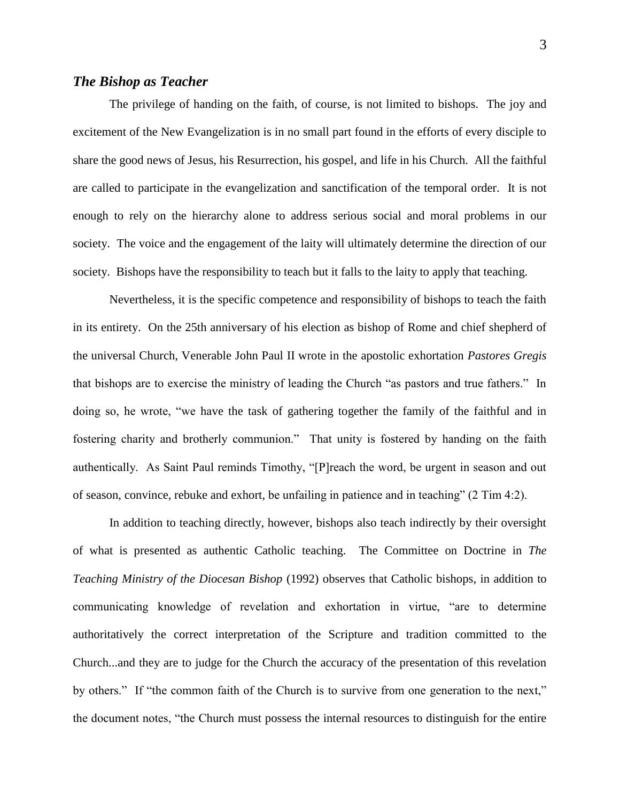### *The Bishop as Teacher*

The privilege of handing on the faith, of course, is not limited to bishops. The joy and excitement of the New Evangelization is in no small part found in the efforts of every disciple to share the good news of Jesus, his Resurrection, his gospel, and life in his Church. All the faithful are called to participate in the evangelization and sanctification of the temporal order. It is not enough to rely on the hierarchy alone to address serious social and moral problems in our society. The voice and the engagement of the laity will ultimately determine the direction of our society. Bishops have the responsibility to teach but it falls to the laity to apply that teaching.

Nevertheless, it is the specific competence and responsibility of bishops to teach the faith in its entirety. On the 25th anniversary of his election as bishop of Rome and chief shepherd of the universal Church, Venerable John Paul II wrote in the apostolic exhortation *Pastores Gregis* that bishops are to exercise the ministry of leading the Church "as pastors and true fathers." In doing so, he wrote, "we have the task of gathering together the family of the faithful and in fostering charity and brotherly communion." That unity is fostered by handing on the faith authentically. As Saint Paul reminds Timothy, "[P]reach the word, be urgent in season and out of season, convince, rebuke and exhort, be unfailing in patience and in teaching" (2 Tim 4:2).

In addition to teaching directly, however, bishops also teach indirectly by their oversight of what is presented as authentic Catholic teaching. The Committee on Doctrine in *The Teaching Ministry of the Diocesan Bishop* (1992) observes that Catholic bishops, in addition to communicating knowledge of revelation and exhortation in virtue, "are to determine authoritatively the correct interpretation of the Scripture and tradition committed to the Church...and they are to judge for the Church the accuracy of the presentation of this revelation by others." If "the common faith of the Church is to survive from one generation to the next," the document notes, "the Church must possess the internal resources to distinguish for the entire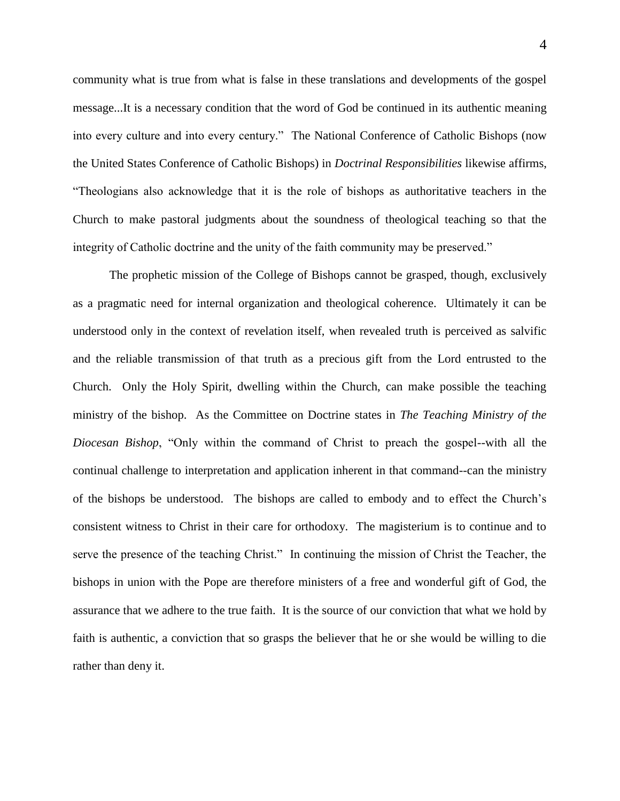community what is true from what is false in these translations and developments of the gospel message...It is a necessary condition that the word of God be continued in its authentic meaning into every culture and into every century." The National Conference of Catholic Bishops (now the United States Conference of Catholic Bishops) in *Doctrinal Responsibilities* likewise affirms, "Theologians also acknowledge that it is the role of bishops as authoritative teachers in the Church to make pastoral judgments about the soundness of theological teaching so that the integrity of Catholic doctrine and the unity of the faith community may be preserved."

The prophetic mission of the College of Bishops cannot be grasped, though, exclusively as a pragmatic need for internal organization and theological coherence. Ultimately it can be understood only in the context of revelation itself, when revealed truth is perceived as salvific and the reliable transmission of that truth as a precious gift from the Lord entrusted to the Church. Only the Holy Spirit, dwelling within the Church, can make possible the teaching ministry of the bishop. As the Committee on Doctrine states in *The Teaching Ministry of the Diocesan Bishop*, "Only within the command of Christ to preach the gospel--with all the continual challenge to interpretation and application inherent in that command--can the ministry of the bishops be understood. The bishops are called to embody and to effect the Church's consistent witness to Christ in their care for orthodoxy. The magisterium is to continue and to serve the presence of the teaching Christ." In continuing the mission of Christ the Teacher, the bishops in union with the Pope are therefore ministers of a free and wonderful gift of God, the assurance that we adhere to the true faith. It is the source of our conviction that what we hold by faith is authentic, a conviction that so grasps the believer that he or she would be willing to die rather than deny it.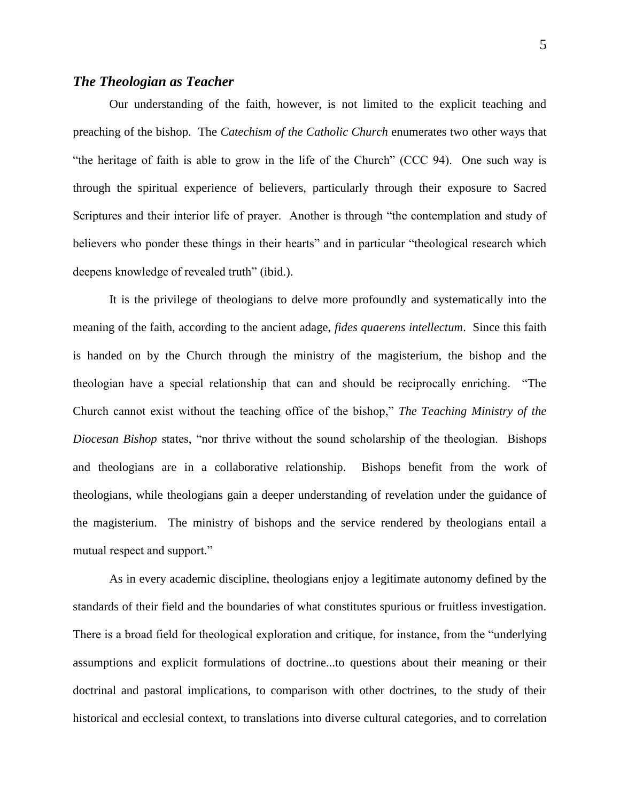### *The Theologian as Teacher*

Our understanding of the faith, however, is not limited to the explicit teaching and preaching of the bishop. The *Catechism of the Catholic Church* enumerates two other ways that "the heritage of faith is able to grow in the life of the Church" (CCC 94). One such way is through the spiritual experience of believers, particularly through their exposure to Sacred Scriptures and their interior life of prayer. Another is through "the contemplation and study of believers who ponder these things in their hearts" and in particular "theological research which deepens knowledge of revealed truth" (ibid.).

It is the privilege of theologians to delve more profoundly and systematically into the meaning of the faith, according to the ancient adage, *fides quaerens intellectum*. Since this faith is handed on by the Church through the ministry of the magisterium, the bishop and the theologian have a special relationship that can and should be reciprocally enriching. "The Church cannot exist without the teaching office of the bishop," *The Teaching Ministry of the Diocesan Bishop* states, "nor thrive without the sound scholarship of the theologian. Bishops and theologians are in a collaborative relationship. Bishops benefit from the work of theologians, while theologians gain a deeper understanding of revelation under the guidance of the magisterium. The ministry of bishops and the service rendered by theologians entail a mutual respect and support."

As in every academic discipline, theologians enjoy a legitimate autonomy defined by the standards of their field and the boundaries of what constitutes spurious or fruitless investigation. There is a broad field for theological exploration and critique, for instance, from the "underlying assumptions and explicit formulations of doctrine...to questions about their meaning or their doctrinal and pastoral implications, to comparison with other doctrines, to the study of their historical and ecclesial context, to translations into diverse cultural categories, and to correlation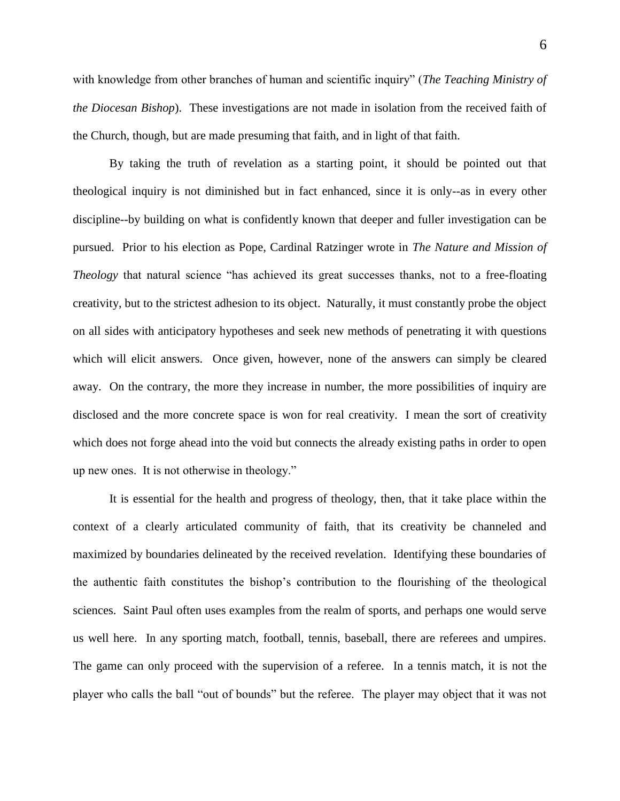with knowledge from other branches of human and scientific inquiry" (*The Teaching Ministry of the Diocesan Bishop*). These investigations are not made in isolation from the received faith of the Church, though, but are made presuming that faith, and in light of that faith.

By taking the truth of revelation as a starting point, it should be pointed out that theological inquiry is not diminished but in fact enhanced, since it is only--as in every other discipline--by building on what is confidently known that deeper and fuller investigation can be pursued. Prior to his election as Pope, Cardinal Ratzinger wrote in *The Nature and Mission of Theology* that natural science "has achieved its great successes thanks, not to a free-floating creativity, but to the strictest adhesion to its object. Naturally, it must constantly probe the object on all sides with anticipatory hypotheses and seek new methods of penetrating it with questions which will elicit answers. Once given, however, none of the answers can simply be cleared away. On the contrary, the more they increase in number, the more possibilities of inquiry are disclosed and the more concrete space is won for real creativity. I mean the sort of creativity which does not forge ahead into the void but connects the already existing paths in order to open up new ones. It is not otherwise in theology."

It is essential for the health and progress of theology, then, that it take place within the context of a clearly articulated community of faith, that its creativity be channeled and maximized by boundaries delineated by the received revelation. Identifying these boundaries of the authentic faith constitutes the bishop's contribution to the flourishing of the theological sciences. Saint Paul often uses examples from the realm of sports, and perhaps one would serve us well here. In any sporting match, football, tennis, baseball, there are referees and umpires. The game can only proceed with the supervision of a referee. In a tennis match, it is not the player who calls the ball "out of bounds" but the referee. The player may object that it was not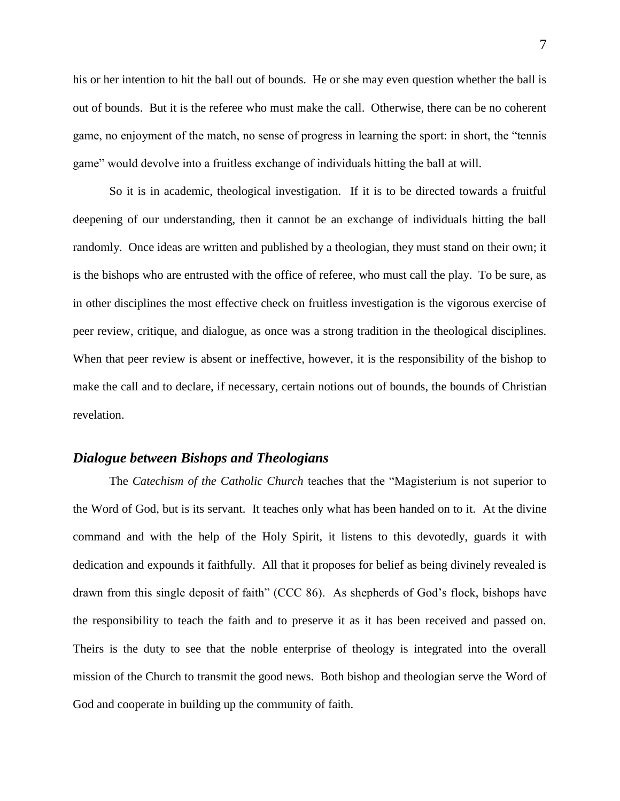his or her intention to hit the ball out of bounds. He or she may even question whether the ball is out of bounds. But it is the referee who must make the call. Otherwise, there can be no coherent game, no enjoyment of the match, no sense of progress in learning the sport: in short, the "tennis game" would devolve into a fruitless exchange of individuals hitting the ball at will.

So it is in academic, theological investigation. If it is to be directed towards a fruitful deepening of our understanding, then it cannot be an exchange of individuals hitting the ball randomly. Once ideas are written and published by a theologian, they must stand on their own; it is the bishops who are entrusted with the office of referee, who must call the play. To be sure, as in other disciplines the most effective check on fruitless investigation is the vigorous exercise of peer review, critique, and dialogue, as once was a strong tradition in the theological disciplines. When that peer review is absent or ineffective, however, it is the responsibility of the bishop to make the call and to declare, if necessary, certain notions out of bounds, the bounds of Christian revelation.

#### *Dialogue between Bishops and Theologians*

The *Catechism of the Catholic Church* teaches that the "Magisterium is not superior to the Word of God, but is its servant. It teaches only what has been handed on to it. At the divine command and with the help of the Holy Spirit, it listens to this devotedly, guards it with dedication and expounds it faithfully. All that it proposes for belief as being divinely revealed is drawn from this single deposit of faith" (CCC 86). As shepherds of God's flock, bishops have the responsibility to teach the faith and to preserve it as it has been received and passed on. Theirs is the duty to see that the noble enterprise of theology is integrated into the overall mission of the Church to transmit the good news. Both bishop and theologian serve the Word of God and cooperate in building up the community of faith.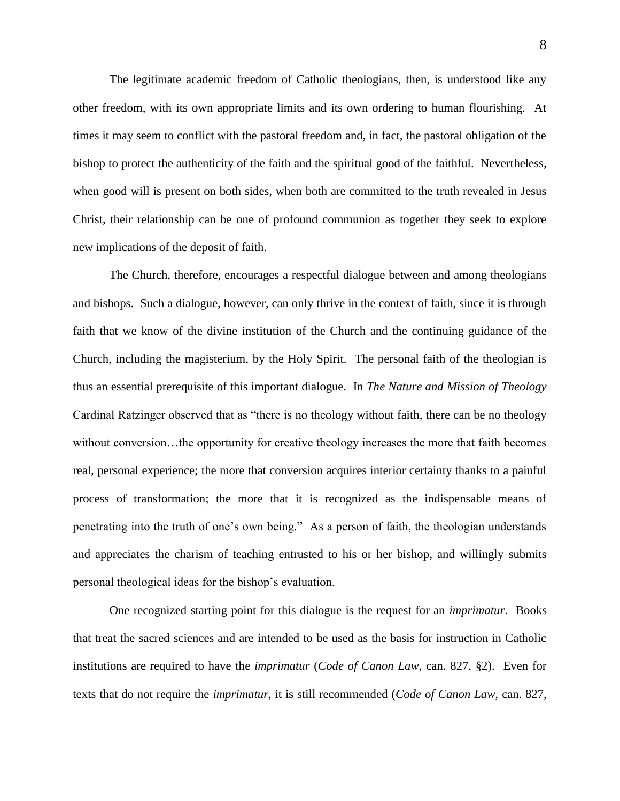The legitimate academic freedom of Catholic theologians, then, is understood like any other freedom, with its own appropriate limits and its own ordering to human flourishing. At times it may seem to conflict with the pastoral freedom and, in fact, the pastoral obligation of the bishop to protect the authenticity of the faith and the spiritual good of the faithful. Nevertheless, when good will is present on both sides, when both are committed to the truth revealed in Jesus Christ, their relationship can be one of profound communion as together they seek to explore new implications of the deposit of faith.

The Church, therefore, encourages a respectful dialogue between and among theologians and bishops. Such a dialogue, however, can only thrive in the context of faith, since it is through faith that we know of the divine institution of the Church and the continuing guidance of the Church, including the magisterium, by the Holy Spirit. The personal faith of the theologian is thus an essential prerequisite of this important dialogue. In *The Nature and Mission of Theology* Cardinal Ratzinger observed that as "there is no theology without faith, there can be no theology without conversion…the opportunity for creative theology increases the more that faith becomes real, personal experience; the more that conversion acquires interior certainty thanks to a painful process of transformation; the more that it is recognized as the indispensable means of penetrating into the truth of one's own being." As a person of faith, the theologian understands and appreciates the charism of teaching entrusted to his or her bishop, and willingly submits personal theological ideas for the bishop's evaluation.

One recognized starting point for this dialogue is the request for an *imprimatur*. Books that treat the sacred sciences and are intended to be used as the basis for instruction in Catholic institutions are required to have the *imprimatur* (*Code of Canon Law,* can. 827, §2). Even for texts that do not require the *imprimatur*, it is still recommended (*Code of Canon Law,* can. 827,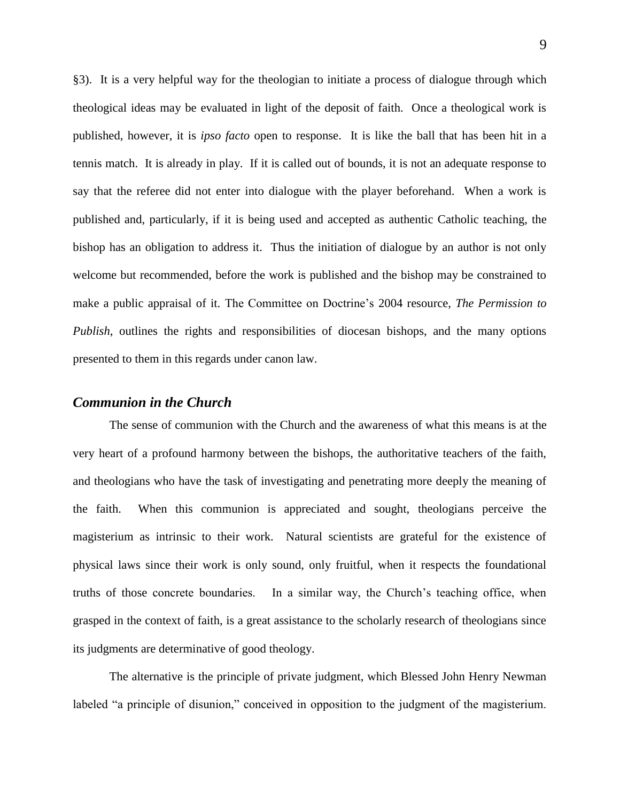§3). It is a very helpful way for the theologian to initiate a process of dialogue through which theological ideas may be evaluated in light of the deposit of faith. Once a theological work is published, however, it is *ipso facto* open to response. It is like the ball that has been hit in a tennis match. It is already in play. If it is called out of bounds, it is not an adequate response to say that the referee did not enter into dialogue with the player beforehand. When a work is published and, particularly, if it is being used and accepted as authentic Catholic teaching, the bishop has an obligation to address it. Thus the initiation of dialogue by an author is not only welcome but recommended, before the work is published and the bishop may be constrained to make a public appraisal of it. The Committee on Doctrine's 2004 resource, *The Permission to Publish*, outlines the rights and responsibilities of diocesan bishops, and the many options presented to them in this regards under canon law.

## *Communion in the Church*

The sense of communion with the Church and the awareness of what this means is at the very heart of a profound harmony between the bishops, the authoritative teachers of the faith, and theologians who have the task of investigating and penetrating more deeply the meaning of the faith. When this communion is appreciated and sought, theologians perceive the magisterium as intrinsic to their work. Natural scientists are grateful for the existence of physical laws since their work is only sound, only fruitful, when it respects the foundational truths of those concrete boundaries. In a similar way, the Church's teaching office, when grasped in the context of faith, is a great assistance to the scholarly research of theologians since its judgments are determinative of good theology.

The alternative is the principle of private judgment, which Blessed John Henry Newman labeled "a principle of disunion," conceived in opposition to the judgment of the magisterium.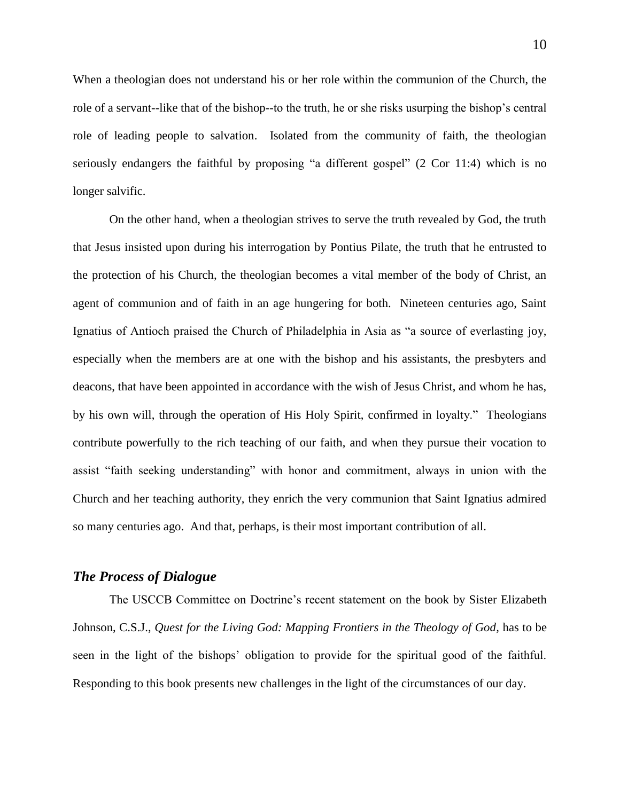When a theologian does not understand his or her role within the communion of the Church, the role of a servant--like that of the bishop--to the truth, he or she risks usurping the bishop's central role of leading people to salvation. Isolated from the community of faith, the theologian seriously endangers the faithful by proposing "a different gospel" (2 Cor 11:4) which is no longer salvific.

On the other hand, when a theologian strives to serve the truth revealed by God, the truth that Jesus insisted upon during his interrogation by Pontius Pilate, the truth that he entrusted to the protection of his Church, the theologian becomes a vital member of the body of Christ, an agent of communion and of faith in an age hungering for both. Nineteen centuries ago, Saint Ignatius of Antioch praised the Church of Philadelphia in Asia as "a source of everlasting joy, especially when the members are at one with the bishop and his assistants, the presbyters and deacons, that have been appointed in accordance with the wish of Jesus Christ, and whom he has, by his own will, through the operation of His Holy Spirit, confirmed in loyalty." Theologians contribute powerfully to the rich teaching of our faith, and when they pursue their vocation to assist "faith seeking understanding" with honor and commitment, always in union with the Church and her teaching authority, they enrich the very communion that Saint Ignatius admired so many centuries ago. And that, perhaps, is their most important contribution of all.

### *The Process of Dialogue*

The USCCB Committee on Doctrine's recent statement on the book by Sister Elizabeth Johnson, C.S.J., *Quest for the Living God: Mapping Frontiers in the Theology of God,* has to be seen in the light of the bishops' obligation to provide for the spiritual good of the faithful. Responding to this book presents new challenges in the light of the circumstances of our day.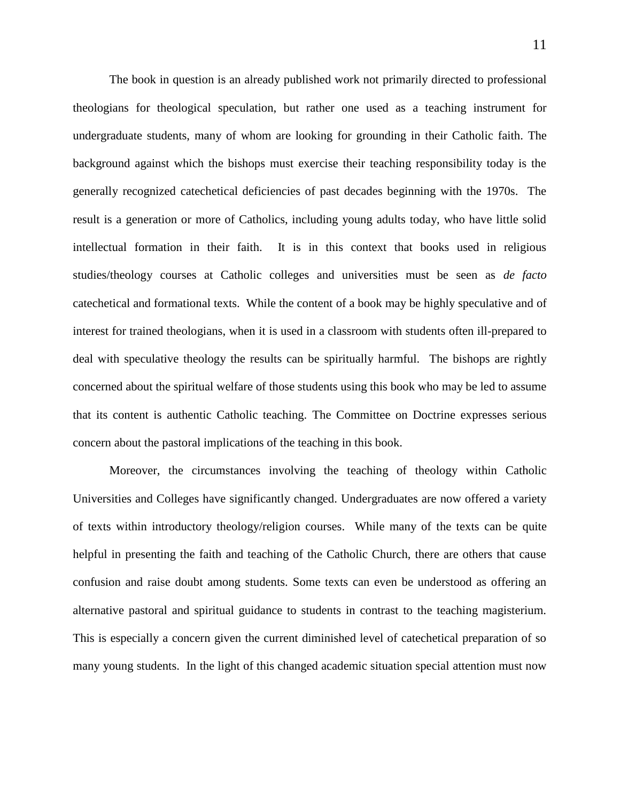The book in question is an already published work not primarily directed to professional theologians for theological speculation, but rather one used as a teaching instrument for undergraduate students, many of whom are looking for grounding in their Catholic faith. The background against which the bishops must exercise their teaching responsibility today is the generally recognized catechetical deficiencies of past decades beginning with the 1970s. The result is a generation or more of Catholics, including young adults today, who have little solid intellectual formation in their faith. It is in this context that books used in religious studies/theology courses at Catholic colleges and universities must be seen as *de facto* catechetical and formational texts. While the content of a book may be highly speculative and of interest for trained theologians, when it is used in a classroom with students often ill-prepared to deal with speculative theology the results can be spiritually harmful. The bishops are rightly concerned about the spiritual welfare of those students using this book who may be led to assume that its content is authentic Catholic teaching. The Committee on Doctrine expresses serious concern about the pastoral implications of the teaching in this book.

Moreover, the circumstances involving the teaching of theology within Catholic Universities and Colleges have significantly changed. Undergraduates are now offered a variety of texts within introductory theology/religion courses. While many of the texts can be quite helpful in presenting the faith and teaching of the Catholic Church, there are others that cause confusion and raise doubt among students. Some texts can even be understood as offering an alternative pastoral and spiritual guidance to students in contrast to the teaching magisterium. This is especially a concern given the current diminished level of catechetical preparation of so many young students. In the light of this changed academic situation special attention must now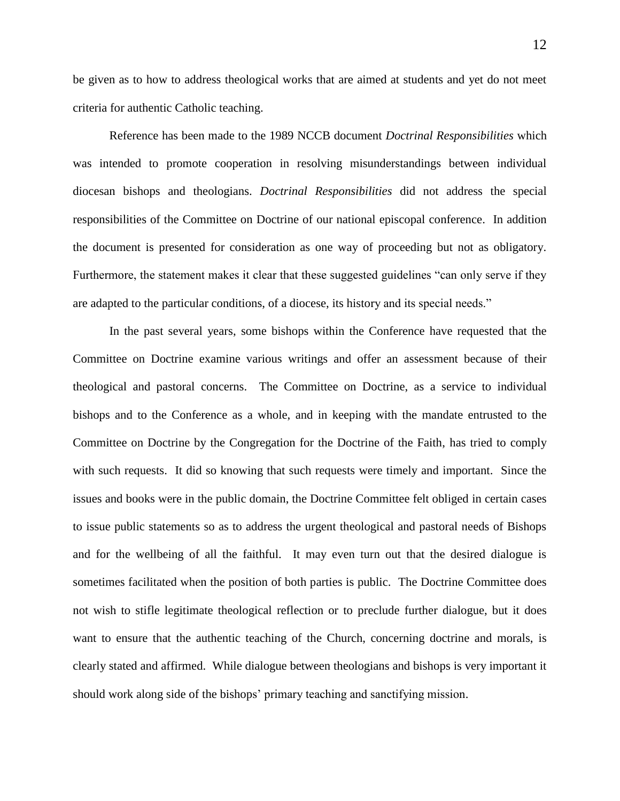be given as to how to address theological works that are aimed at students and yet do not meet criteria for authentic Catholic teaching.

Reference has been made to the 1989 NCCB document *Doctrinal Responsibilities* which was intended to promote cooperation in resolving misunderstandings between individual diocesan bishops and theologians. *Doctrinal Responsibilities* did not address the special responsibilities of the Committee on Doctrine of our national episcopal conference. In addition the document is presented for consideration as one way of proceeding but not as obligatory. Furthermore, the statement makes it clear that these suggested guidelines "can only serve if they are adapted to the particular conditions, of a diocese, its history and its special needs."

In the past several years, some bishops within the Conference have requested that the Committee on Doctrine examine various writings and offer an assessment because of their theological and pastoral concerns. The Committee on Doctrine, as a service to individual bishops and to the Conference as a whole, and in keeping with the mandate entrusted to the Committee on Doctrine by the Congregation for the Doctrine of the Faith, has tried to comply with such requests. It did so knowing that such requests were timely and important. Since the issues and books were in the public domain, the Doctrine Committee felt obliged in certain cases to issue public statements so as to address the urgent theological and pastoral needs of Bishops and for the wellbeing of all the faithful. It may even turn out that the desired dialogue is sometimes facilitated when the position of both parties is public. The Doctrine Committee does not wish to stifle legitimate theological reflection or to preclude further dialogue, but it does want to ensure that the authentic teaching of the Church, concerning doctrine and morals, is clearly stated and affirmed. While dialogue between theologians and bishops is very important it should work along side of the bishops' primary teaching and sanctifying mission.